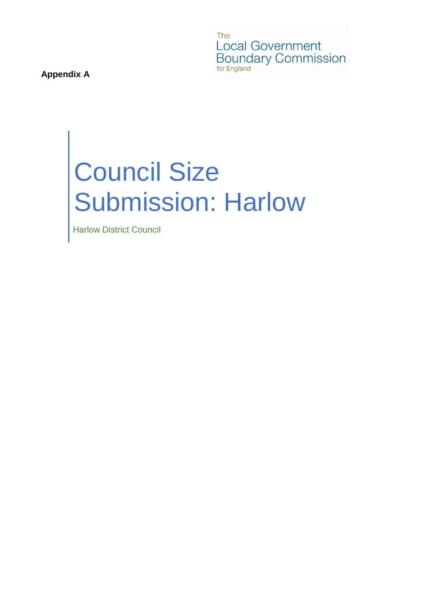The **Local Government** Boundary Commission for England

**Appendix A**

# Council Size Submission: Harlow

Harlow District Council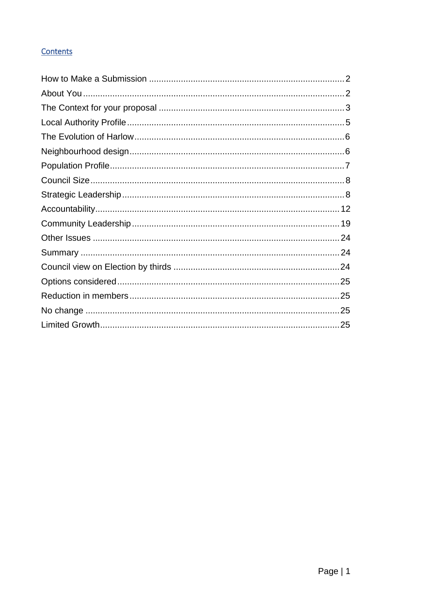# Contents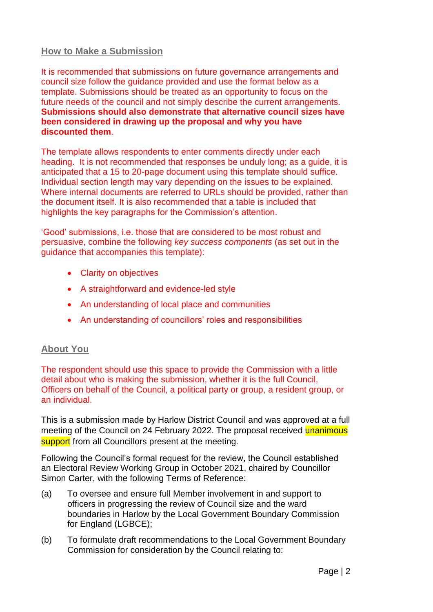## <span id="page-2-0"></span>**How to Make a Submission**

It is recommended that submissions on future governance arrangements and council size follow the guidance provided and use the format below as a template. Submissions should be treated as an opportunity to focus on the future needs of the council and not simply describe the current arrangements. **Submissions should also demonstrate that alternative council sizes have been considered in drawing up the proposal and why you have discounted them**.

The template allows respondents to enter comments directly under each heading. It is not recommended that responses be unduly long; as a guide, it is anticipated that a 15 to 20-page document using this template should suffice. Individual section length may vary depending on the issues to be explained. Where internal documents are referred to URLs should be provided, rather than the document itself. It is also recommended that a table is included that highlights the key paragraphs for the Commission's attention.

'Good' submissions, i.e. those that are considered to be most robust and persuasive, combine the following *key success components* (as set out in the guidance that accompanies this template):

- Clarity on objectives
- A straightforward and evidence-led style
- An understanding of local place and communities
- An understanding of councillors' roles and responsibilities

## <span id="page-2-1"></span>**About You**

The respondent should use this space to provide the Commission with a little detail about who is making the submission, whether it is the full Council, Officers on behalf of the Council, a political party or group, a resident group, or an individual.

This is a submission made by Harlow District Council and was approved at a full meeting of the Council on 24 February 2022. The proposal received unanimous support from all Councillors present at the meeting.

Following the Council's formal request for the review, the Council established an Electoral Review Working Group in October 2021, chaired by Councillor Simon Carter, with the following Terms of Reference:

- (a) To oversee and ensure full Member involvement in and support to officers in progressing the review of Council size and the ward boundaries in Harlow by the Local Government Boundary Commission for England (LGBCE);
- (b) To formulate draft recommendations to the Local Government Boundary Commission for consideration by the Council relating to: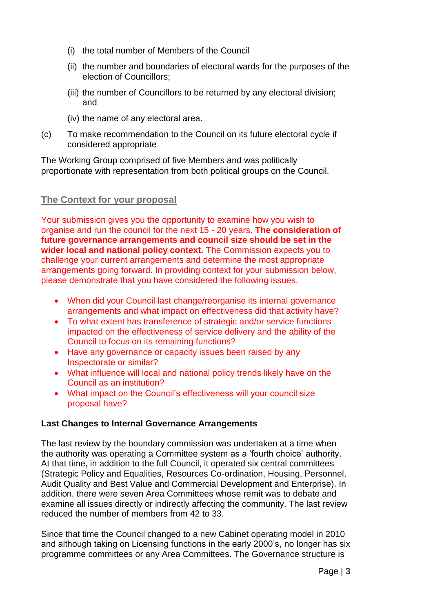- (i) the total number of Members of the Council
- (ii) the number and boundaries of electoral wards for the purposes of the election of Councillors;
- (iii) the number of Councillors to be returned by any electoral division; and
- (iv) the name of any electoral area.
- (c) To make recommendation to the Council on its future electoral cycle if considered appropriate

The Working Group comprised of five Members and was politically proportionate with representation from both political groups on the Council.

# <span id="page-3-0"></span>**The Context for your proposal**

Your submission gives you the opportunity to examine how you wish to organise and run the council for the next 15 - 20 years. **The consideration of future governance arrangements and council size should be set in the wider local and national policy context.** The Commission expects you to challenge your current arrangements and determine the most appropriate arrangements going forward. In providing context for your submission below, please demonstrate that you have considered the following issues.

- When did your Council last change/reorganise its internal governance arrangements and what impact on effectiveness did that activity have?
- To what extent has transference of strategic and/or service functions impacted on the effectiveness of service delivery and the ability of the Council to focus on its remaining functions?
- Have any governance or capacity issues been raised by any Inspectorate or similar?
- What influence will local and national policy trends likely have on the Council as an institution?
- What impact on the Council's effectiveness will your council size proposal have?

## **Last Changes to Internal Governance Arrangements**

The last review by the boundary commission was undertaken at a time when the authority was operating a Committee system as a 'fourth choice' authority. At that time, in addition to the full Council, it operated six central committees (Strategic Policy and Equalities, Resources Co-ordination, Housing, Personnel, Audit Quality and Best Value and Commercial Development and Enterprise). In addition, there were seven Area Committees whose remit was to debate and examine all issues directly or indirectly affecting the community. The last review reduced the number of members from 42 to 33.

Since that time the Council changed to a new Cabinet operating model in 2010 and although taking on Licensing functions in the early 2000's, no longer has six programme committees or any Area Committees. The Governance structure is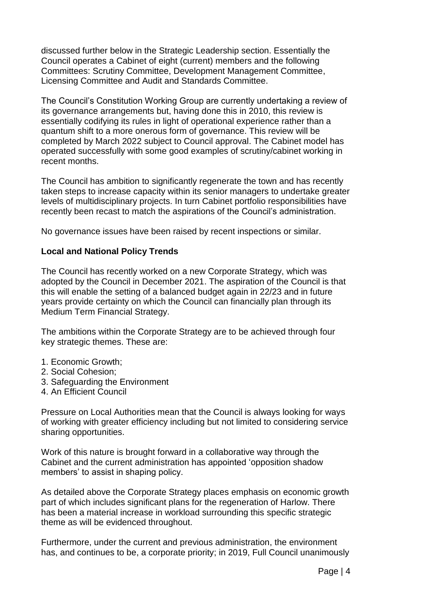discussed further below in the Strategic Leadership section. Essentially the Council operates a Cabinet of eight (current) members and the following Committees: Scrutiny Committee, Development Management Committee, Licensing Committee and Audit and Standards Committee.

The Council's Constitution Working Group are currently undertaking a review of its governance arrangements but, having done this in 2010, this review is essentially codifying its rules in light of operational experience rather than a quantum shift to a more onerous form of governance. This review will be completed by March 2022 subject to Council approval. The Cabinet model has operated successfully with some good examples of scrutiny/cabinet working in recent months.

The Council has ambition to significantly regenerate the town and has recently taken steps to increase capacity within its senior managers to undertake greater levels of multidisciplinary projects. In turn Cabinet portfolio responsibilities have recently been recast to match the aspirations of the Council's administration.

No governance issues have been raised by recent inspections or similar.

#### **Local and National Policy Trends**

The Council has recently worked on a new Corporate Strategy, which was adopted by the Council in December 2021. The aspiration of the Council is that this will enable the setting of a balanced budget again in 22/23 and in future years provide certainty on which the Council can financially plan through its Medium Term Financial Strategy.

The ambitions within the Corporate Strategy are to be achieved through four key strategic themes. These are:

- 1. Economic Growth;
- 2. Social Cohesion;
- 3. Safeguarding the Environment
- 4. An Efficient Council

Pressure on Local Authorities mean that the Council is always looking for ways of working with greater efficiency including but not limited to considering service sharing opportunities.

Work of this nature is brought forward in a collaborative way through the Cabinet and the current administration has appointed 'opposition shadow members' to assist in shaping policy.

As detailed above the Corporate Strategy places emphasis on economic growth part of which includes significant plans for the regeneration of Harlow. There has been a material increase in workload surrounding this specific strategic theme as will be evidenced throughout.

Furthermore, under the current and previous administration, the environment has, and continues to be, a corporate priority; in 2019, Full Council unanimously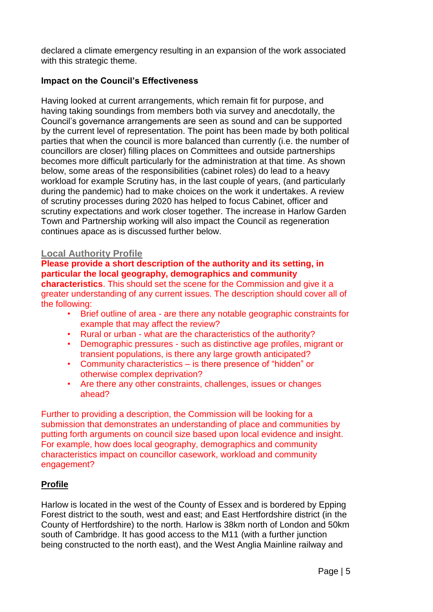declared a climate emergency resulting in an expansion of the work associated with this strategic theme.

#### **Impact on the Council's Effectiveness**

Having looked at current arrangements, which remain fit for purpose, and having taking soundings from members both via survey and anecdotally, the Council's governance arrangements are seen as sound and can be supported by the current level of representation. The point has been made by both political parties that when the council is more balanced than currently (i.e. the number of councillors are closer) filling places on Committees and outside partnerships becomes more difficult particularly for the administration at that time. As shown below, some areas of the responsibilities (cabinet roles) do lead to a heavy workload for example Scrutiny has, in the last couple of years, (and particularly during the pandemic) had to make choices on the work it undertakes. A review of scrutiny processes during 2020 has helped to focus Cabinet, officer and scrutiny expectations and work closer together. The increase in Harlow Garden Town and Partnership working will also impact the Council as regeneration continues apace as is discussed further below.

#### <span id="page-5-0"></span>**Local Authority Profile**

# **Please provide a short description of the authority and its setting, in particular the local geography, demographics and community**

**characteristics**. This should set the scene for the Commission and give it a greater understanding of any current issues. The description should cover all of the following:

- Brief outline of area are there any notable geographic constraints for example that may affect the review?
- Rural or urban what are the characteristics of the authority?
- Demographic pressures such as distinctive age profiles, migrant or transient populations, is there any large growth anticipated?
- Community characteristics is there presence of "hidden" or otherwise complex deprivation?
- Are there any other constraints, challenges, issues or changes ahead?

Further to providing a description, the Commission will be looking for a submission that demonstrates an understanding of place and communities by putting forth arguments on council size based upon local evidence and insight. For example, how does local geography, demographics and community characteristics impact on councillor casework, workload and community engagement?

#### **Profile**

Harlow is located in the west of the County of Essex and is bordered by Epping Forest district to the south, west and east; and East Hertfordshire district (in the County of Hertfordshire) to the north. Harlow is 38km north of London and 50km south of Cambridge. It has good access to the M11 (with a further junction being constructed to the north east), and the West Anglia Mainline railway and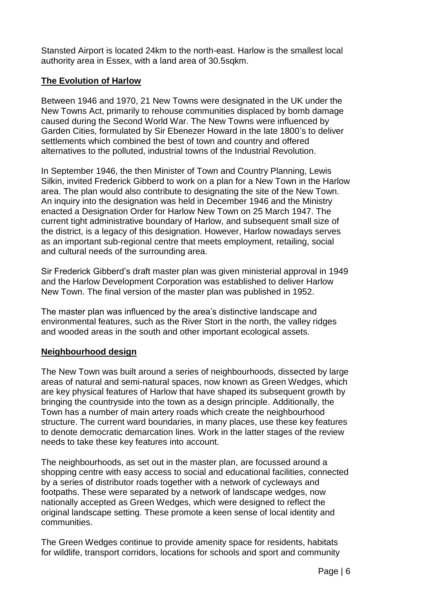Stansted Airport is located 24km to the north-east. Harlow is the smallest local authority area in Essex, with a land area of 30.5sqkm.

## <span id="page-6-0"></span>**The Evolution of Harlow**

Between 1946 and 1970, 21 New Towns were designated in the UK under the New Towns Act, primarily to rehouse communities displaced by bomb damage caused during the Second World War. The New Towns were influenced by Garden Cities, formulated by Sir Ebenezer Howard in the late 1800's to deliver settlements which combined the best of town and country and offered alternatives to the polluted, industrial towns of the Industrial Revolution.

In September 1946, the then Minister of Town and Country Planning, Lewis Silkin, invited Frederick Gibberd to work on a plan for a New Town in the Harlow area. The plan would also contribute to designating the site of the New Town. An inquiry into the designation was held in December 1946 and the Ministry enacted a Designation Order for Harlow New Town on 25 March 1947. The current tight administrative boundary of Harlow, and subsequent small size of the district, is a legacy of this designation. However, Harlow nowadays serves as an important sub-regional centre that meets employment, retailing, social and cultural needs of the surrounding area.

Sir Frederick Gibberd's draft master plan was given ministerial approval in 1949 and the Harlow Development Corporation was established to deliver Harlow New Town. The final version of the master plan was published in 1952.

The master plan was influenced by the area's distinctive landscape and environmental features, such as the River Stort in the north, the valley ridges and wooded areas in the south and other important ecological assets.

## <span id="page-6-1"></span>**Neighbourhood design**

The New Town was built around a series of neighbourhoods, dissected by large areas of natural and semi-natural spaces, now known as Green Wedges, which are key physical features of Harlow that have shaped its subsequent growth by bringing the countryside into the town as a design principle. Additionally, the Town has a number of main artery roads which create the neighbourhood structure. The current ward boundaries, in many places, use these key features to denote democratic demarcation lines. Work in the latter stages of the review needs to take these key features into account.

The neighbourhoods, as set out in the master plan, are focussed around a shopping centre with easy access to social and educational facilities, connected by a series of distributor roads together with a network of cycleways and footpaths. These were separated by a network of landscape wedges, now nationally accepted as Green Wedges, which were designed to reflect the original landscape setting. These promote a keen sense of local identity and communities.

The Green Wedges continue to provide amenity space for residents, habitats for wildlife, transport corridors, locations for schools and sport and community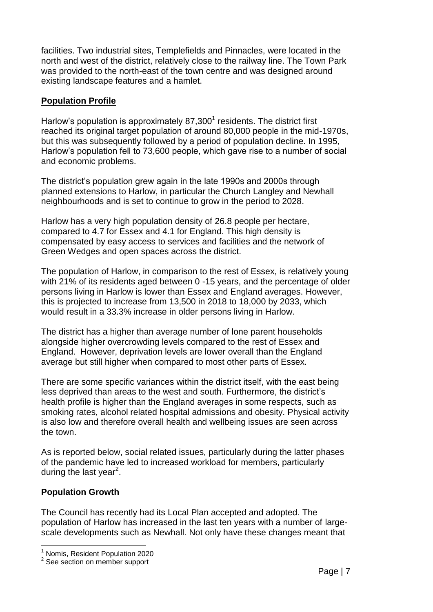facilities. Two industrial sites, Templefields and Pinnacles, were located in the north and west of the district, relatively close to the railway line. The Town Park was provided to the north-east of the town centre and was designed around existing landscape features and a hamlet.

## <span id="page-7-0"></span>**Population Profile**

Harlow's population is approximately  $87,300<sup>1</sup>$  residents. The district first reached its original target population of around 80,000 people in the mid-1970s, but this was subsequently followed by a period of population decline. In 1995, Harlow's population fell to 73,600 people, which gave rise to a number of social and economic problems.

The district's population grew again in the late 1990s and 2000s through planned extensions to Harlow, in particular the Church Langley and Newhall neighbourhoods and is set to continue to grow in the period to 2028.

Harlow has a very high population density of 26.8 people per hectare, compared to 4.7 for Essex and 4.1 for England. This high density is compensated by easy access to services and facilities and the network of Green Wedges and open spaces across the district.

The population of Harlow, in comparison to the rest of Essex, is relatively young with 21% of its residents aged between 0 -15 years, and the percentage of older persons living in Harlow is lower than Essex and England averages. However, this is projected to increase from 13,500 in 2018 to 18,000 by 2033, which would result in a 33.3% increase in older persons living in Harlow.

The district has a higher than average number of lone parent households alongside higher overcrowding levels compared to the rest of Essex and England. However, deprivation levels are lower overall than the England average but still higher when compared to most other parts of Essex.

There are some specific variances within the district itself, with the east being less deprived than areas to the west and south. Furthermore, the district's health profile is higher than the England averages in some respects, such as smoking rates, alcohol related hospital admissions and obesity. Physical activity is also low and therefore overall health and wellbeing issues are seen across the town.

As is reported below, social related issues, particularly during the latter phases of the pandemic have led to increased workload for members, particularly during the last year<sup>2</sup>.

## **Population Growth**

1

The Council has recently had its Local Plan accepted and adopted. The population of Harlow has increased in the last ten years with a number of largescale developments such as Newhall. Not only have these changes meant that

<sup>1</sup> Nomis, Resident Population 2020

<sup>&</sup>lt;sup>2</sup> See section on member support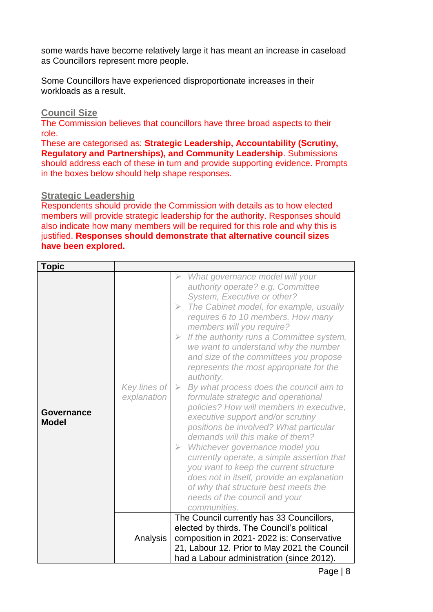some wards have become relatively large it has meant an increase in caseload as Councillors represent more people.

Some Councillors have experienced disproportionate increases in their workloads as a result.

#### <span id="page-8-0"></span>**Council Size**

The Commission believes that councillors have three broad aspects to their role.

These are categorised as: **Strategic Leadership, Accountability (Scrutiny, Regulatory and Partnerships), and Community Leadership**. Submissions should address each of these in turn and provide supporting evidence. Prompts in the boxes below should help shape responses.

#### <span id="page-8-1"></span>**Strategic Leadership**

Respondents should provide the Commission with details as to how elected members will provide strategic leadership for the authority. Responses should also indicate how many members will be required for this role and why this is justified. **Responses should demonstrate that alternative council sizes have been explored.**

| <b>Topic</b>               |                             |                                                                                                                                                                                                                                                                                                                                                                                                                                                                                                                                                                                                                                                                                                                                                                                                                                                                                                                                                                                                                        |
|----------------------------|-----------------------------|------------------------------------------------------------------------------------------------------------------------------------------------------------------------------------------------------------------------------------------------------------------------------------------------------------------------------------------------------------------------------------------------------------------------------------------------------------------------------------------------------------------------------------------------------------------------------------------------------------------------------------------------------------------------------------------------------------------------------------------------------------------------------------------------------------------------------------------------------------------------------------------------------------------------------------------------------------------------------------------------------------------------|
| Governance<br><b>Model</b> | Key lines of<br>explanation | What governance model will your<br>$\triangleright$<br>authority operate? e.g. Committee<br>System, Executive or other?<br>The Cabinet model, for example, usually<br>$\blacktriangleright$<br>requires 6 to 10 members. How many<br>members will you require?<br>If the authority runs a Committee system,<br>$\geqslant$<br>we want to understand why the number<br>and size of the committees you propose<br>represents the most appropriate for the<br>authority.<br>By what process does the council aim to<br>$\geqslant$<br>formulate strategic and operational<br>policies? How will members in executive,<br>executive support and/or scrutiny<br>positions be involved? What particular<br>demands will this make of them?<br>$\triangleright$ Whichever governance model you<br>currently operate, a simple assertion that<br>you want to keep the current structure<br>does not in itself, provide an explanation<br>of why that structure best meets the<br>needs of the council and your<br>communities. |
|                            | Analysis                    | The Council currently has 33 Councillors,<br>elected by thirds. The Council's political<br>composition in 2021-2022 is: Conservative<br>21, Labour 12. Prior to May 2021 the Council<br>had a Labour administration (since 2012).                                                                                                                                                                                                                                                                                                                                                                                                                                                                                                                                                                                                                                                                                                                                                                                      |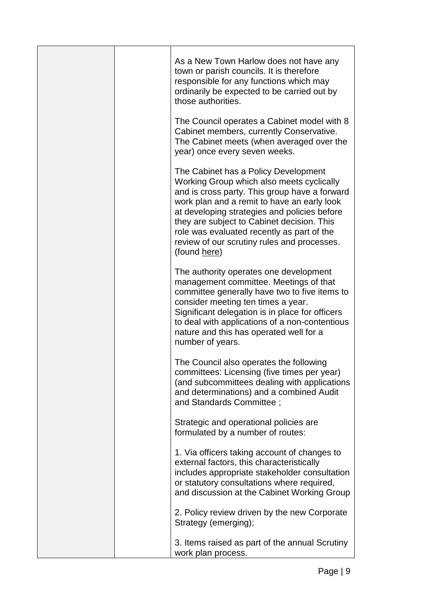|  | As a New Town Harlow does not have any<br>town or parish councils. It is therefore<br>responsible for any functions which may<br>ordinarily be expected to be carried out by<br>those authorities.                                                                                                                                                                                           |
|--|----------------------------------------------------------------------------------------------------------------------------------------------------------------------------------------------------------------------------------------------------------------------------------------------------------------------------------------------------------------------------------------------|
|  | The Council operates a Cabinet model with 8<br>Cabinet members, currently Conservative.<br>The Cabinet meets (when averaged over the<br>year) once every seven weeks.                                                                                                                                                                                                                        |
|  | The Cabinet has a Policy Development<br>Working Group which also meets cyclically<br>and is cross party. This group have a forward<br>work plan and a remit to have an early look<br>at developing strategies and policies before<br>they are subject to Cabinet decision. This<br>role was evaluated recently as part of the<br>review of our scrutiny rules and processes.<br>(found here) |
|  | The authority operates one development<br>management committee. Meetings of that<br>committee generally have two to five items to<br>consider meeting ten times a year.<br>Significant delegation is in place for officers<br>to deal with applications of a non-contentious<br>nature and this has operated well for a<br>number of years.                                                  |
|  | The Council also operates the following<br>committees: Licensing (five times per year)<br>(and subcommittees dealing with applications<br>and determinations) and a combined Audit<br>and Standards Committee;                                                                                                                                                                               |
|  | Strategic and operational policies are<br>formulated by a number of routes:                                                                                                                                                                                                                                                                                                                  |
|  | 1. Via officers taking account of changes to<br>external factors, this characteristically<br>includes appropriate stakeholder consultation<br>or statutory consultations where required,<br>and discussion at the Cabinet Working Group                                                                                                                                                      |
|  | 2. Policy review driven by the new Corporate<br>Strategy (emerging);                                                                                                                                                                                                                                                                                                                         |
|  | 3. Items raised as part of the annual Scrutiny<br>work plan process.                                                                                                                                                                                                                                                                                                                         |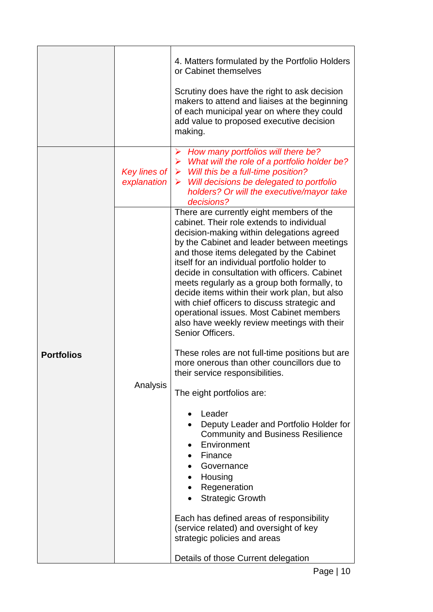|                   |                             | 4. Matters formulated by the Portfolio Holders<br>or Cabinet themselves<br>Scrutiny does have the right to ask decision<br>makers to attend and liaises at the beginning<br>of each municipal year on where they could<br>add value to proposed executive decision<br>making.                                                                                                                                                                                                                                                                                                                                                                                                                                                                                                                                                                                                                                                                                                                                                                                                      |
|-------------------|-----------------------------|------------------------------------------------------------------------------------------------------------------------------------------------------------------------------------------------------------------------------------------------------------------------------------------------------------------------------------------------------------------------------------------------------------------------------------------------------------------------------------------------------------------------------------------------------------------------------------------------------------------------------------------------------------------------------------------------------------------------------------------------------------------------------------------------------------------------------------------------------------------------------------------------------------------------------------------------------------------------------------------------------------------------------------------------------------------------------------|
|                   | Key lines of<br>explanation | How many portfolios will there be?<br>➤<br>$\triangleright$ What will the role of a portfolio holder be?<br>$\triangleright$ Will this be a full-time position?<br>$\triangleright$ Will decisions be delegated to portfolio<br>holders? Or will the executive/mayor take<br>decisions?                                                                                                                                                                                                                                                                                                                                                                                                                                                                                                                                                                                                                                                                                                                                                                                            |
| <b>Portfolios</b> | Analysis                    | There are currently eight members of the<br>cabinet. Their role extends to individual<br>decision-making within delegations agreed<br>by the Cabinet and leader between meetings<br>and those items delegated by the Cabinet<br>itself for an individual portfolio holder to<br>decide in consultation with officers. Cabinet<br>meets regularly as a group both formally, to<br>decide items within their work plan, but also<br>with chief officers to discuss strategic and<br>operational issues. Most Cabinet members<br>also have weekly review meetings with their<br>Senior Officers.<br>These roles are not full-time positions but are<br>more onerous than other councillors due to<br>their service responsibilities.<br>The eight portfolios are:<br>Leader<br>Deputy Leader and Portfolio Holder for<br><b>Community and Business Resilience</b><br>Environment<br>Finance<br>Governance<br>Housing<br>Regeneration<br><b>Strategic Growth</b><br>Each has defined areas of responsibility<br>(service related) and oversight of key<br>strategic policies and areas |
|                   |                             | Details of those Current delegation                                                                                                                                                                                                                                                                                                                                                                                                                                                                                                                                                                                                                                                                                                                                                                                                                                                                                                                                                                                                                                                |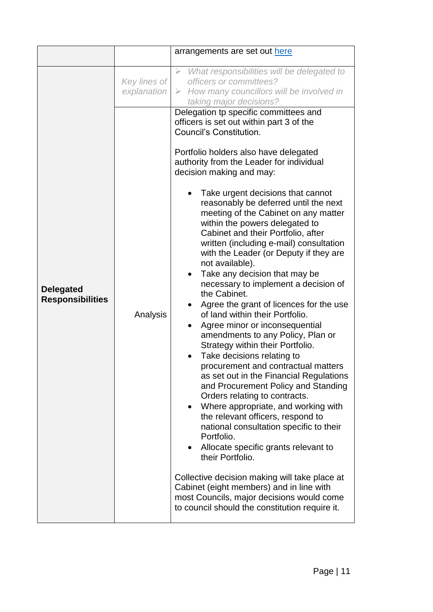|                                             |                             | arrangements are set out here                                                                                                                                                                                                                                                                                                                                                                                                                                                                                                                                                                                                                                                                                                                                                                                                                                                                                                                                                                                                                                                                                                                                                                                                                                                                                                                                                                                           |
|---------------------------------------------|-----------------------------|-------------------------------------------------------------------------------------------------------------------------------------------------------------------------------------------------------------------------------------------------------------------------------------------------------------------------------------------------------------------------------------------------------------------------------------------------------------------------------------------------------------------------------------------------------------------------------------------------------------------------------------------------------------------------------------------------------------------------------------------------------------------------------------------------------------------------------------------------------------------------------------------------------------------------------------------------------------------------------------------------------------------------------------------------------------------------------------------------------------------------------------------------------------------------------------------------------------------------------------------------------------------------------------------------------------------------------------------------------------------------------------------------------------------------|
|                                             |                             |                                                                                                                                                                                                                                                                                                                                                                                                                                                                                                                                                                                                                                                                                                                                                                                                                                                                                                                                                                                                                                                                                                                                                                                                                                                                                                                                                                                                                         |
|                                             | Key lines of<br>explanation | $\triangleright$ What responsibilities will be delegated to<br>officers or committees?<br>$\triangleright$ How many councillors will be involved in<br>taking major decisions?                                                                                                                                                                                                                                                                                                                                                                                                                                                                                                                                                                                                                                                                                                                                                                                                                                                                                                                                                                                                                                                                                                                                                                                                                                          |
| <b>Delegated</b><br><b>Responsibilities</b> | Analysis                    | Delegation tp specific committees and<br>officers is set out within part 3 of the<br>Council's Constitution.<br>Portfolio holders also have delegated<br>authority from the Leader for individual<br>decision making and may:<br>Take urgent decisions that cannot<br>reasonably be deferred until the next<br>meeting of the Cabinet on any matter<br>within the powers delegated to<br>Cabinet and their Portfolio, after<br>written (including e-mail) consultation<br>with the Leader (or Deputy if they are<br>not available).<br>Take any decision that may be<br>necessary to implement a decision of<br>the Cabinet.<br>Agree the grant of licences for the use<br>of land within their Portfolio.<br>Agree minor or inconsequential<br>amendments to any Policy, Plan or<br>Strategy within their Portfolio.<br>Take decisions relating to<br>procurement and contractual matters<br>as set out in the Financial Regulations<br>and Procurement Policy and Standing<br>Orders relating to contracts.<br>Where appropriate, and working with<br>$\bullet$<br>the relevant officers, respond to<br>national consultation specific to their<br>Portfolio.<br>Allocate specific grants relevant to<br>their Portfolio.<br>Collective decision making will take place at<br>Cabinet (eight members) and in line with<br>most Councils, major decisions would come<br>to council should the constitution require it. |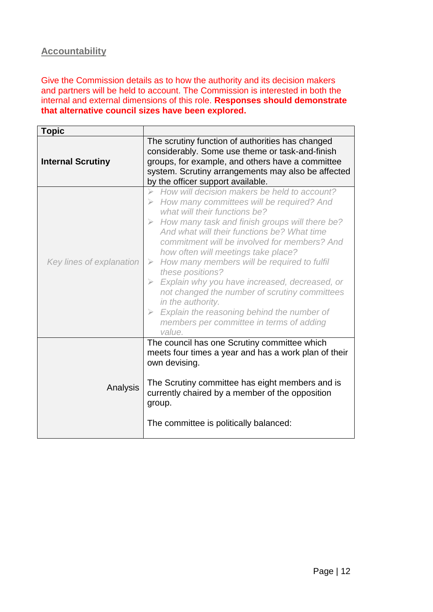## <span id="page-12-0"></span>**Accountability**

Give the Commission details as to how the authority and its decision makers and partners will be held to account. The Commission is interested in both the internal and external dimensions of this role. **Responses should demonstrate that alternative council sizes have been explored.**

| <b>Topic</b>             |                                                                                                                                                                                                                                                                                                                                                                                                                                                                                                                                                                                                                                                                                                                           |
|--------------------------|---------------------------------------------------------------------------------------------------------------------------------------------------------------------------------------------------------------------------------------------------------------------------------------------------------------------------------------------------------------------------------------------------------------------------------------------------------------------------------------------------------------------------------------------------------------------------------------------------------------------------------------------------------------------------------------------------------------------------|
| <b>Internal Scrutiny</b> | The scrutiny function of authorities has changed<br>considerably. Some use theme or task-and-finish<br>groups, for example, and others have a committee<br>system. Scrutiny arrangements may also be affected<br>by the officer support available.                                                                                                                                                                                                                                                                                                                                                                                                                                                                        |
| Key lines of explanation | How will decision makers be held to account?<br>$\triangleright$<br>$\triangleright$ How many committees will be required? And<br>what will their functions be?<br>$\triangleright$ How many task and finish groups will there be?<br>And what will their functions be? What time<br>commitment will be involved for members? And<br>how often will meetings take place?<br>$\triangleright$ How many members will be required to fulfil<br>these positions?<br>$\triangleright$ Explain why you have increased, decreased, or<br>not changed the number of scrutiny committees<br>in the authority.<br>$\triangleright$ Explain the reasoning behind the number of<br>members per committee in terms of adding<br>value. |
| Analysis                 | The council has one Scrutiny committee which<br>meets four times a year and has a work plan of their<br>own devising.<br>The Scrutiny committee has eight members and is<br>currently chaired by a member of the opposition<br>group.<br>The committee is politically balanced:                                                                                                                                                                                                                                                                                                                                                                                                                                           |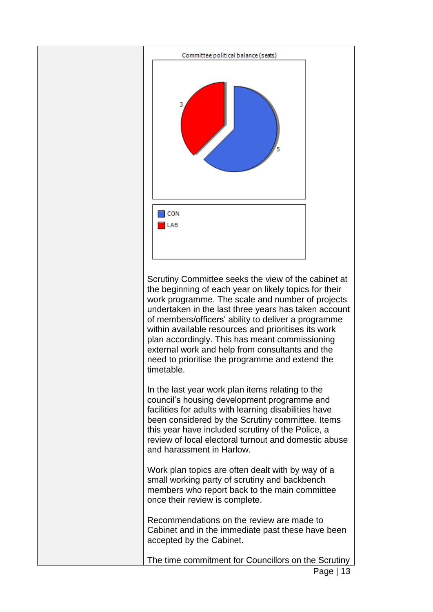

Scrutiny Committee seeks the view of the cabinet at the beginning of each year on likely topics for their work programme. The scale and number of projects undertaken in the last three years has taken account of members/officers' ability to deliver a programme within available resources and prioritises its work plan accordingly. This has meant commissioning external work and help from consultants and the need to prioritise the programme and extend the timetable.

In the last year work plan items relating to the council's housing development programme and facilities for adults with learning disabilities have been considered by the Scrutiny committee. Items this year have included scrutiny of the Police, a review of local electoral turnout and domestic abuse and harassment in Harlow.

Work plan topics are often dealt with by way of a small working party of scrutiny and backbench members who report back to the main committee once their review is complete.

Recommendations on the review are made to Cabinet and in the immediate past these have been accepted by the Cabinet.

The time commitment for Councillors on the Scrutiny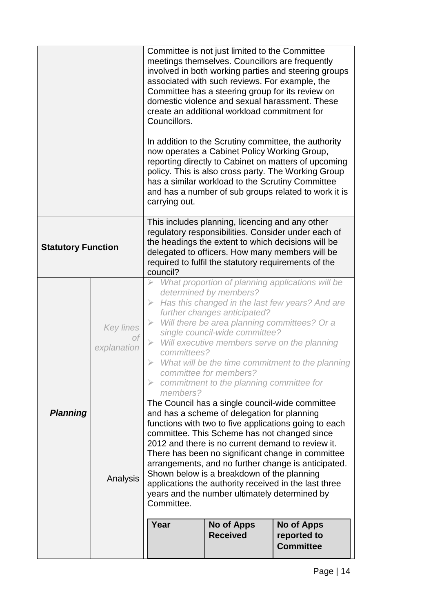|                           |                          | Committee is not just limited to the Committee<br>meetings themselves. Councillors are frequently<br>involved in both working parties and steering groups<br>associated with such reviews. For example, the<br>Committee has a steering group for its review on<br>domestic violence and sexual harassment. These<br>create an additional workload commitment for<br>Councillors.<br>In addition to the Scrutiny committee, the authority<br>now operates a Cabinet Policy Working Group,<br>reporting directly to Cabinet on matters of upcoming<br>policy. This is also cross party. The Working Group<br>has a similar workload to the Scrutiny Committee<br>and has a number of sub groups related to work it is<br>carrying out. |                                                                                                                                                                                                                                                                                                  |                                                                                                                                                                          |
|---------------------------|--------------------------|---------------------------------------------------------------------------------------------------------------------------------------------------------------------------------------------------------------------------------------------------------------------------------------------------------------------------------------------------------------------------------------------------------------------------------------------------------------------------------------------------------------------------------------------------------------------------------------------------------------------------------------------------------------------------------------------------------------------------------------|--------------------------------------------------------------------------------------------------------------------------------------------------------------------------------------------------------------------------------------------------------------------------------------------------|--------------------------------------------------------------------------------------------------------------------------------------------------------------------------|
| <b>Statutory Function</b> |                          | council?                                                                                                                                                                                                                                                                                                                                                                                                                                                                                                                                                                                                                                                                                                                              | This includes planning, licencing and any other<br>the headings the extent to which decisions will be<br>delegated to officers. How many members will be<br>required to fulfil the statutory requirements of the                                                                                 | regulatory responsibilities. Consider under each of                                                                                                                      |
|                           | Key lines<br>explanation | ➤<br>$\blacktriangleright$<br>committees?<br>$\triangleright$<br>members?                                                                                                                                                                                                                                                                                                                                                                                                                                                                                                                                                                                                                                                             | determined by members?<br>further changes anticipated?<br>$\triangleright$ Will there be area planning committees? Or a<br>single council-wide committee?<br>$\triangleright$ Will executive members serve on the planning<br>committee for members?<br>commitment to the planning committee for | What proportion of planning applications will be<br>Has this changed in the last few years? And are<br>$\triangleright$ What will be the time commitment to the planning |
| <b>Planning</b>           | Analysis                 | The Council has a single council-wide committee<br>and has a scheme of delegation for planning<br>functions with two to five applications going to each<br>committee. This Scheme has not changed since<br>2012 and there is no current demand to review it.<br>There has been no significant change in committee<br>arrangements, and no further change is anticipated.<br>Shown below is a breakdown of the planning<br>applications the authority received in the last three<br>years and the number ultimately determined by<br>Committee.<br>Year<br><b>No of Apps</b><br><b>No of Apps</b><br><b>Received</b><br>reported to<br><b>Committee</b>                                                                                |                                                                                                                                                                                                                                                                                                  |                                                                                                                                                                          |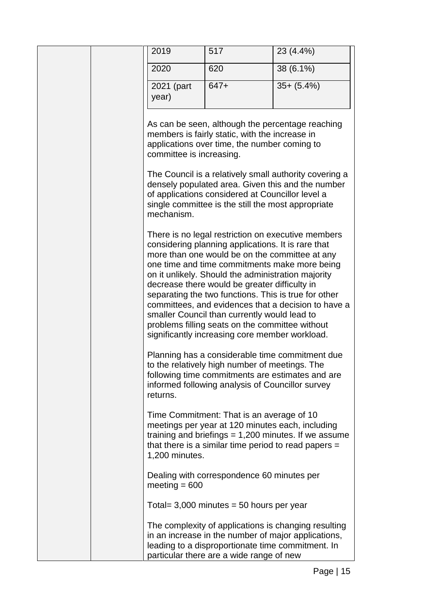| 2019                     | 517                                                                                                                                                                                                                                                                                                                                                                                                                      | 23 (4.4%)                                                                                                                                                  |
|--------------------------|--------------------------------------------------------------------------------------------------------------------------------------------------------------------------------------------------------------------------------------------------------------------------------------------------------------------------------------------------------------------------------------------------------------------------|------------------------------------------------------------------------------------------------------------------------------------------------------------|
| 2020                     | 620                                                                                                                                                                                                                                                                                                                                                                                                                      | 38 (6.1%)                                                                                                                                                  |
| 2021 (part               | $647+$                                                                                                                                                                                                                                                                                                                                                                                                                   | $35 + (5.4\%)$                                                                                                                                             |
| year)                    |                                                                                                                                                                                                                                                                                                                                                                                                                          |                                                                                                                                                            |
| committee is increasing. | members is fairly static, with the increase in<br>applications over time, the number coming to                                                                                                                                                                                                                                                                                                                           | As can be seen, although the percentage reaching                                                                                                           |
| mechanism.               | of applications considered at Councillor level a<br>single committee is the still the most appropriate                                                                                                                                                                                                                                                                                                                   | The Council is a relatively small authority covering a<br>densely populated area. Given this and the number                                                |
|                          | considering planning applications. It is rare that<br>more than one would be on the committee at any<br>on it unlikely. Should the administration majority<br>decrease there would be greater difficulty in<br>separating the two functions. This is true for other<br>smaller Council than currently would lead to<br>problems filling seats on the committee without<br>significantly increasing core member workload. | There is no legal restriction on executive members<br>one time and time commitments make more being<br>committees, and evidences that a decision to have a |
| returns.                 | to the relatively high number of meetings. The<br>informed following analysis of Councillor survey                                                                                                                                                                                                                                                                                                                       | Planning has a considerable time commitment due<br>following time commitments are estimates and are                                                        |
| 1,200 minutes.           | Time Commitment: That is an average of 10<br>meetings per year at 120 minutes each, including<br>that there is a similar time period to read papers $=$                                                                                                                                                                                                                                                                  | training and briefings $= 1,200$ minutes. If we assume                                                                                                     |
| meeting $= 600$          | Dealing with correspondence 60 minutes per                                                                                                                                                                                                                                                                                                                                                                               |                                                                                                                                                            |
|                          | Total = $3,000$ minutes = 50 hours per year                                                                                                                                                                                                                                                                                                                                                                              |                                                                                                                                                            |
|                          | leading to a disproportionate time commitment. In<br>particular there are a wide range of new                                                                                                                                                                                                                                                                                                                            | The complexity of applications is changing resulting<br>in an increase in the number of major applications,                                                |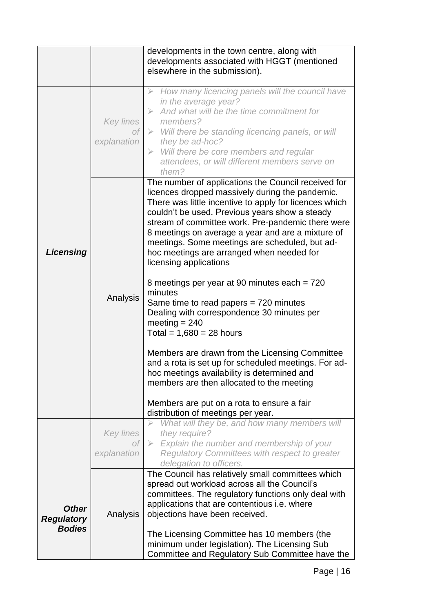|                                                    |                                       | developments in the town centre, along with<br>developments associated with HGGT (mentioned<br>elsewhere in the submission).                                                                                                                                                                                                                                                                                                          |
|----------------------------------------------------|---------------------------------------|---------------------------------------------------------------------------------------------------------------------------------------------------------------------------------------------------------------------------------------------------------------------------------------------------------------------------------------------------------------------------------------------------------------------------------------|
|                                                    | <b>Key lines</b><br>οf<br>explanation | $\triangleright$ How many licencing panels will the council have<br>in the average year?<br>$\triangleright$ And what will be the time commitment for<br>members?<br>$\triangleright$ Will there be standing licencing panels, or will<br>they be ad-hoc?<br>$\triangleright$ Will there be core members and regular<br>attendees, or will different members serve on<br>them?<br>The number of applications the Council received for |
| Licensing                                          |                                       | licences dropped massively during the pandemic.<br>There was little incentive to apply for licences which<br>couldn't be used. Previous years show a steady<br>stream of committee work. Pre-pandemic there were<br>8 meetings on average a year and are a mixture of<br>meetings. Some meetings are scheduled, but ad-<br>hoc meetings are arranged when needed for<br>licensing applications                                        |
|                                                    | Analysis                              | 8 meetings per year at 90 minutes each = 720<br>minutes<br>Same time to read papers $= 720$ minutes<br>Dealing with correspondence 30 minutes per<br>meeting $= 240$<br>Total = $1,680 = 28$ hours                                                                                                                                                                                                                                    |
|                                                    |                                       | Members are drawn from the Licensing Committee<br>and a rota is set up for scheduled meetings. For ad-<br>hoc meetings availability is determined and<br>members are then allocated to the meeting                                                                                                                                                                                                                                    |
|                                                    |                                       | Members are put on a rota to ensure a fair<br>distribution of meetings per year.                                                                                                                                                                                                                                                                                                                                                      |
|                                                    | Key lines<br>Οf                       | What will they be, and how many members will<br>they require?<br>$\triangleright$ Explain the number and membership of your                                                                                                                                                                                                                                                                                                           |
|                                                    | explanation                           | Regulatory Committees with respect to greater<br>delegation to officers.                                                                                                                                                                                                                                                                                                                                                              |
| <b>Other</b><br><b>Regulatory</b><br><b>Bodies</b> | Analysis                              | The Council has relatively small committees which<br>spread out workload across all the Council's<br>committees. The regulatory functions only deal with<br>applications that are contentious i.e. where<br>objections have been received.                                                                                                                                                                                            |
|                                                    |                                       | The Licensing Committee has 10 members (the<br>minimum under legislation). The Licensing Sub<br>Committee and Regulatory Sub Committee have the                                                                                                                                                                                                                                                                                       |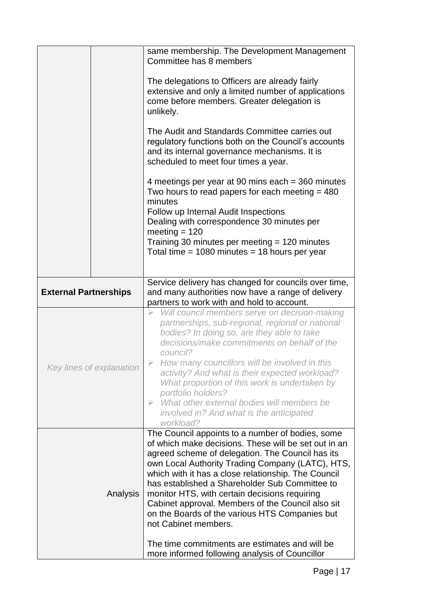|                              | same membership. The Development Management<br>Committee has 8 members<br>The delegations to Officers are already fairly<br>extensive and only a limited number of applications<br>come before members. Greater delegation is<br>unlikely.<br>The Audit and Standards Committee carries out<br>regulatory functions both on the Council's accounts<br>and its internal governance mechanisms. It is<br>scheduled to meet four times a year.<br>4 meetings per year at 90 mins each = 360 minutes<br>Two hours to read papers for each meeting $=$ 480<br>minutes<br>Follow up Internal Audit Inspections<br>Dealing with correspondence 30 minutes per<br>meeting $= 120$<br>Training 30 minutes per meeting = 120 minutes<br>Total time = $1080$ minutes = $18$ hours per year |  |
|------------------------------|---------------------------------------------------------------------------------------------------------------------------------------------------------------------------------------------------------------------------------------------------------------------------------------------------------------------------------------------------------------------------------------------------------------------------------------------------------------------------------------------------------------------------------------------------------------------------------------------------------------------------------------------------------------------------------------------------------------------------------------------------------------------------------|--|
| <b>External Partnerships</b> | Service delivery has changed for councils over time,<br>and many authorities now have a range of delivery<br>partners to work with and hold to account.                                                                                                                                                                                                                                                                                                                                                                                                                                                                                                                                                                                                                         |  |
| Key lines of explanation     | Will council members serve on decision-making<br>partnerships, sub-regional, regional or national<br>bodies? In doing so, are they able to take<br>decisions/make commitments on behalf of the<br>council?<br>How many councillors will be involved in this<br>activity? And what is their expected workload?<br>What proportion of this work is undertaken by<br>portfolio holders?<br>What other external bodies will members be<br>$\triangleright$<br>involved in? And what is the anticipated<br>workload?                                                                                                                                                                                                                                                                 |  |
| Analysis                     | The Council appoints to a number of bodies, some<br>of which make decisions. These will be set out in an<br>agreed scheme of delegation. The Council has its<br>own Local Authority Trading Company (LATC), HTS,<br>which with it has a close relationship. The Council<br>has established a Shareholder Sub Committee to<br>monitor HTS, with certain decisions requiring<br>Cabinet approval. Members of the Council also sit<br>on the Boards of the various HTS Companies but<br>not Cabinet members.<br>The time commitments are estimates and will be<br>more informed following analysis of Councillor                                                                                                                                                                   |  |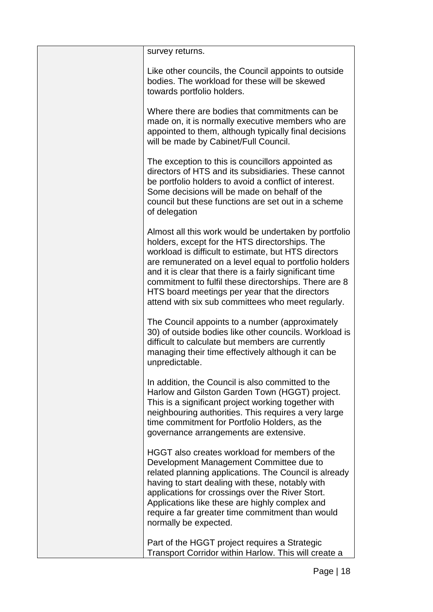| survey returns.                                                                                                                                                                                                                                                                                                                                                                                                                                      |
|------------------------------------------------------------------------------------------------------------------------------------------------------------------------------------------------------------------------------------------------------------------------------------------------------------------------------------------------------------------------------------------------------------------------------------------------------|
| Like other councils, the Council appoints to outside<br>bodies. The workload for these will be skewed<br>towards portfolio holders.                                                                                                                                                                                                                                                                                                                  |
| Where there are bodies that commitments can be<br>made on, it is normally executive members who are<br>appointed to them, although typically final decisions<br>will be made by Cabinet/Full Council.                                                                                                                                                                                                                                                |
| The exception to this is councillors appointed as<br>directors of HTS and its subsidiaries. These cannot<br>be portfolio holders to avoid a conflict of interest.<br>Some decisions will be made on behalf of the<br>council but these functions are set out in a scheme<br>of delegation                                                                                                                                                            |
| Almost all this work would be undertaken by portfolio<br>holders, except for the HTS directorships. The<br>workload is difficult to estimate, but HTS directors<br>are remunerated on a level equal to portfolio holders<br>and it is clear that there is a fairly significant time<br>commitment to fulfil these directorships. There are 8<br>HTS board meetings per year that the directors<br>attend with six sub committees who meet regularly. |
| The Council appoints to a number (approximately<br>30) of outside bodies like other councils. Workload is<br>difficult to calculate but members are currently<br>managing their time effectively although it can be<br>unpredictable.                                                                                                                                                                                                                |
| In addition, the Council is also committed to the<br>Harlow and Gilston Garden Town (HGGT) project.<br>This is a significant project working together with<br>neighbouring authorities. This requires a very large<br>time commitment for Portfolio Holders, as the<br>governance arrangements are extensive.                                                                                                                                        |
| HGGT also creates workload for members of the<br>Development Management Committee due to<br>related planning applications. The Council is already<br>having to start dealing with these, notably with<br>applications for crossings over the River Stort.<br>Applications like these are highly complex and<br>require a far greater time commitment than would<br>normally be expected.                                                             |
| Part of the HGGT project requires a Strategic<br>Transport Corridor within Harlow. This will create a                                                                                                                                                                                                                                                                                                                                                |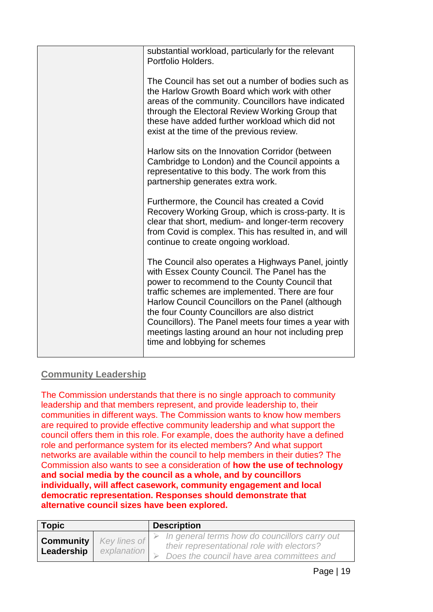| substantial workload, particularly for the relevant<br>Portfolio Holders.                                                                                                                                                                                                                                                                                                                                                                                    |
|--------------------------------------------------------------------------------------------------------------------------------------------------------------------------------------------------------------------------------------------------------------------------------------------------------------------------------------------------------------------------------------------------------------------------------------------------------------|
| The Council has set out a number of bodies such as<br>the Harlow Growth Board which work with other<br>areas of the community. Councillors have indicated<br>through the Electoral Review Working Group that<br>these have added further workload which did not<br>exist at the time of the previous review.                                                                                                                                                 |
| Harlow sits on the Innovation Corridor (between<br>Cambridge to London) and the Council appoints a<br>representative to this body. The work from this<br>partnership generates extra work.                                                                                                                                                                                                                                                                   |
| Furthermore, the Council has created a Covid<br>Recovery Working Group, which is cross-party. It is<br>clear that short, medium- and longer-term recovery<br>from Covid is complex. This has resulted in, and will<br>continue to create ongoing workload.                                                                                                                                                                                                   |
| The Council also operates a Highways Panel, jointly<br>with Essex County Council. The Panel has the<br>power to recommend to the County Council that<br>traffic schemes are implemented. There are four<br>Harlow Council Councillors on the Panel (although<br>the four County Councillors are also district<br>Councillors). The Panel meets four times a year with<br>meetings lasting around an hour not including prep<br>time and lobbying for schemes |
|                                                                                                                                                                                                                                                                                                                                                                                                                                                              |

# <span id="page-19-0"></span>**Community Leadership**

The Commission understands that there is no single approach to community leadership and that members represent, and provide leadership to, their communities in different ways. The Commission wants to know how members are required to provide effective community leadership and what support the council offers them in this role. For example, does the authority have a defined role and performance system for its elected members? And what support networks are available within the council to help members in their duties? The Commission also wants to see a consideration of **how the use of technology and social media by the council as a whole, and by councillors individually, will affect casework, community engagement and local democratic representation. Responses should demonstrate that alternative council sizes have been explored.**

| <b>Topic</b> |                                                | <b>Description</b>                                                                                                                       |  |
|--------------|------------------------------------------------|------------------------------------------------------------------------------------------------------------------------------------------|--|
| Leadership   | <b>Community</b>   Key lines of<br>explanation | In general terms how do councillors carry out<br>their representational role with electors?<br>Does the council have area committees and |  |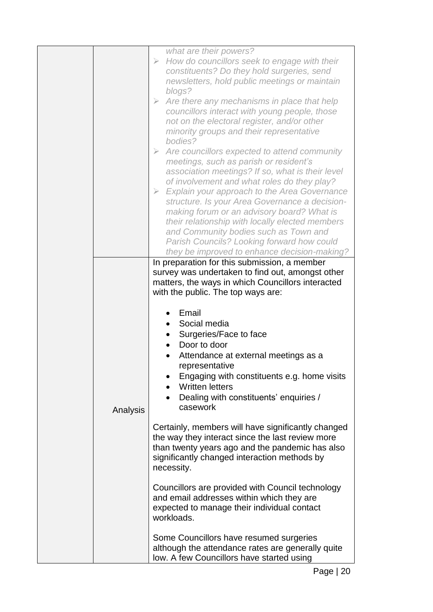|  |          | what are their powers?<br>How do councillors seek to engage with their<br>$\blacktriangleright$<br>constituents? Do they hold surgeries, send<br>newsletters, hold public meetings or maintain<br>blogs?<br>Are there any mechanisms in place that help<br>$\triangleright$<br>councillors interact with young people, those<br>not on the electoral register, and/or other<br>minority groups and their representative<br>bodies?<br>$\triangleright$ Are councillors expected to attend community<br>meetings, such as parish or resident's<br>association meetings? If so, what is their level<br>of involvement and what roles do they play?<br>$\triangleright$ Explain your approach to the Area Governance<br>structure. Is your Area Governance a decision-<br>making forum or an advisory board? What is<br>their relationship with locally elected members<br>and Community bodies such as Town and<br>Parish Councils? Looking forward how could |  |  |  |
|--|----------|-------------------------------------------------------------------------------------------------------------------------------------------------------------------------------------------------------------------------------------------------------------------------------------------------------------------------------------------------------------------------------------------------------------------------------------------------------------------------------------------------------------------------------------------------------------------------------------------------------------------------------------------------------------------------------------------------------------------------------------------------------------------------------------------------------------------------------------------------------------------------------------------------------------------------------------------------------------|--|--|--|
|  |          | they be improved to enhance decision-making?<br>In preparation for this submission, a member<br>survey was undertaken to find out, amongst other                                                                                                                                                                                                                                                                                                                                                                                                                                                                                                                                                                                                                                                                                                                                                                                                            |  |  |  |
|  |          | matters, the ways in which Councillors interacted<br>with the public. The top ways are:                                                                                                                                                                                                                                                                                                                                                                                                                                                                                                                                                                                                                                                                                                                                                                                                                                                                     |  |  |  |
|  | Analysis | Email<br>Social media<br>Surgeries/Face to face<br>Door to door<br>Attendance at external meetings as a<br>representative<br>Engaging with constituents e.g. home visits<br><b>Written letters</b><br>Dealing with constituents' enquiries /<br>casework                                                                                                                                                                                                                                                                                                                                                                                                                                                                                                                                                                                                                                                                                                    |  |  |  |
|  |          | Certainly, members will have significantly changed<br>the way they interact since the last review more<br>than twenty years ago and the pandemic has also<br>significantly changed interaction methods by<br>necessity.                                                                                                                                                                                                                                                                                                                                                                                                                                                                                                                                                                                                                                                                                                                                     |  |  |  |
|  |          | Councillors are provided with Council technology<br>and email addresses within which they are<br>expected to manage their individual contact<br>workloads.                                                                                                                                                                                                                                                                                                                                                                                                                                                                                                                                                                                                                                                                                                                                                                                                  |  |  |  |
|  |          | Some Councillors have resumed surgeries<br>although the attendance rates are generally quite<br>low. A few Councillors have started using                                                                                                                                                                                                                                                                                                                                                                                                                                                                                                                                                                                                                                                                                                                                                                                                                   |  |  |  |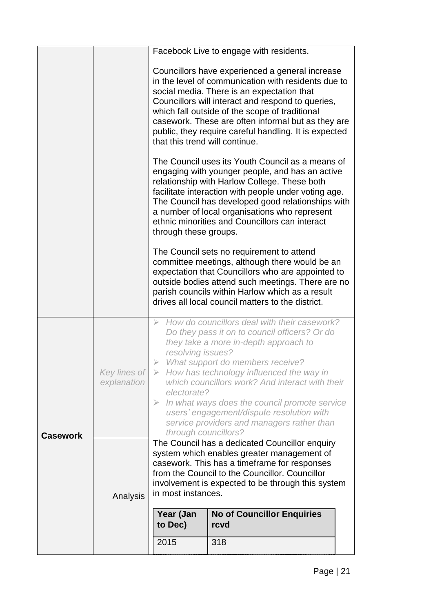|                 |                             |                                                                                                                                                                                                                                                                                                                                                                                                                                                                                                                                                                                                                                                                                                               | Facebook Live to engage with residents. |  |  |  |
|-----------------|-----------------------------|---------------------------------------------------------------------------------------------------------------------------------------------------------------------------------------------------------------------------------------------------------------------------------------------------------------------------------------------------------------------------------------------------------------------------------------------------------------------------------------------------------------------------------------------------------------------------------------------------------------------------------------------------------------------------------------------------------------|-----------------------------------------|--|--|--|
|                 |                             | Councillors have experienced a general increase<br>in the level of communication with residents due to<br>social media. There is an expectation that<br>Councillors will interact and respond to queries,<br>which fall outside of the scope of traditional<br>casework. These are often informal but as they are<br>public, they require careful handling. It is expected<br>that this trend will continue.                                                                                                                                                                                                                                                                                                  |                                         |  |  |  |
|                 |                             | The Council uses its Youth Council as a means of<br>engaging with younger people, and has an active<br>relationship with Harlow College. These both<br>facilitate interaction with people under voting age.<br>The Council has developed good relationships with<br>a number of local organisations who represent<br>ethnic minorities and Councillors can interact<br>through these groups.<br>The Council sets no requirement to attend<br>committee meetings, although there would be an<br>expectation that Councillors who are appointed to<br>outside bodies attend such meetings. There are no<br>parish councils within Harlow which as a result<br>drives all local council matters to the district. |                                         |  |  |  |
|                 |                             |                                                                                                                                                                                                                                                                                                                                                                                                                                                                                                                                                                                                                                                                                                               |                                         |  |  |  |
|                 | Key lines of<br>explanation | How do councillors deal with their casework?<br>$\triangleright$<br>Do they pass it on to council officers? Or do<br>they take a more in-depth approach to<br>resolving issues?<br>What support do members receive?<br>$\triangleright$ How has technology influenced the way in<br>which councillors work? And interact with their<br>electorate?<br>In what ways does the council promote service<br>$\triangleright$<br>users' engagement/dispute resolution with<br>service providers and managers rather than<br>through councillors?                                                                                                                                                                    |                                         |  |  |  |
| <b>Casework</b> | Analysis                    | The Council has a dedicated Councillor enquiry<br>system which enables greater management of<br>casework. This has a timeframe for responses<br>from the Council to the Councillor. Councillor<br>involvement is expected to be through this system<br>in most instances.<br>Year (Jan<br><b>No of Councillor Enquiries</b><br>to Dec)<br>rcvd<br>2015<br>318                                                                                                                                                                                                                                                                                                                                                 |                                         |  |  |  |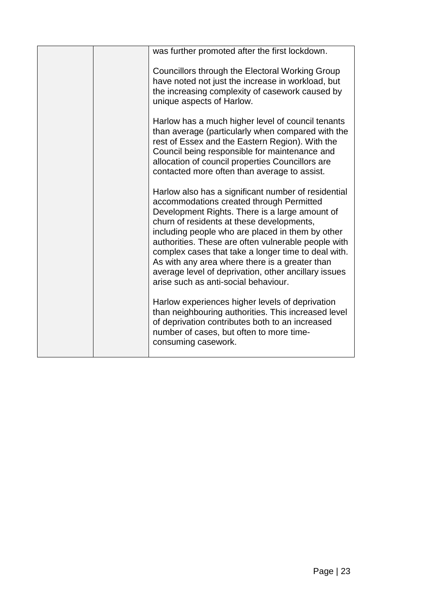|  | was further promoted after the first lockdown.                                                                                                                                                                                                                                                                                                                                                                                                                                                                     |
|--|--------------------------------------------------------------------------------------------------------------------------------------------------------------------------------------------------------------------------------------------------------------------------------------------------------------------------------------------------------------------------------------------------------------------------------------------------------------------------------------------------------------------|
|  | Councillors through the Electoral Working Group<br>have noted not just the increase in workload, but<br>the increasing complexity of casework caused by<br>unique aspects of Harlow.                                                                                                                                                                                                                                                                                                                               |
|  | Harlow has a much higher level of council tenants<br>than average (particularly when compared with the<br>rest of Essex and the Eastern Region). With the<br>Council being responsible for maintenance and<br>allocation of council properties Councillors are<br>contacted more often than average to assist.                                                                                                                                                                                                     |
|  | Harlow also has a significant number of residential<br>accommodations created through Permitted<br>Development Rights. There is a large amount of<br>churn of residents at these developments,<br>including people who are placed in them by other<br>authorities. These are often vulnerable people with<br>complex cases that take a longer time to deal with.<br>As with any area where there is a greater than<br>average level of deprivation, other ancillary issues<br>arise such as anti-social behaviour. |
|  | Harlow experiences higher levels of deprivation<br>than neighbouring authorities. This increased level<br>of deprivation contributes both to an increased<br>number of cases, but often to more time-<br>consuming casework.                                                                                                                                                                                                                                                                                       |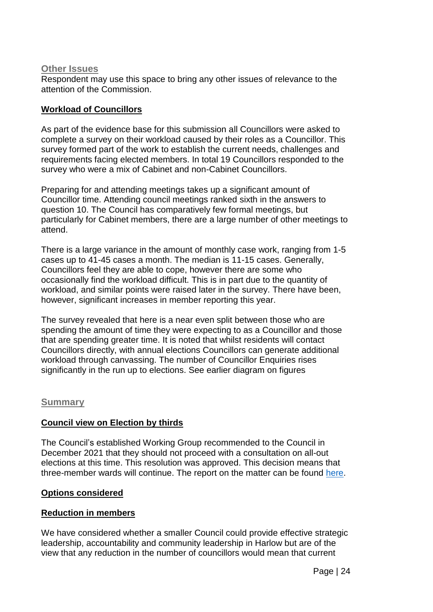#### <span id="page-24-0"></span>**Other Issues**

Respondent may use this space to bring any other issues of relevance to the attention of the Commission.

#### **Workload of Councillors**

As part of the evidence base for this submission all Councillors were asked to complete a survey on their workload caused by their roles as a Councillor. This survey formed part of the work to establish the current needs, challenges and requirements facing elected members. In total 19 Councillors responded to the survey who were a mix of Cabinet and non-Cabinet Councillors.

Preparing for and attending meetings takes up a significant amount of Councillor time. Attending council meetings ranked sixth in the answers to question 10. The Council has comparatively few formal meetings, but particularly for Cabinet members, there are a large number of other meetings to attend.

There is a large variance in the amount of monthly case work, ranging from 1-5 cases up to 41-45 cases a month. The median is 11-15 cases. Generally, Councillors feel they are able to cope, however there are some who occasionally find the workload difficult. This is in part due to the quantity of workload, and similar points were raised later in the survey. There have been, however, significant increases in member reporting this year.

The survey revealed that here is a near even split between those who are spending the amount of time they were expecting to as a Councillor and those that are spending greater time. It is noted that whilst residents will contact Councillors directly, with annual elections Councillors can generate additional workload through canvassing. The number of Councillor Enquiries rises significantly in the run up to elections. See earlier diagram on figures

#### <span id="page-24-1"></span>**Summary**

## <span id="page-24-2"></span>**Council view on Election by thirds**

The Council's established Working Group recommended to the Council in December 2021 that they should not proceed with a consultation on all-out elections at this time. This resolution was approved. This decision means that three-member wards will continue. The report on the matter can be found [here.](https://moderngov.harlow.gov.uk/ieListDocuments.aspx?CId=123&MId=1362&Ver=4)

#### <span id="page-24-3"></span>**Options considered**

## <span id="page-24-4"></span>**Reduction in members**

We have considered whether a smaller Council could provide effective strategic leadership, accountability and community leadership in Harlow but are of the view that any reduction in the number of councillors would mean that current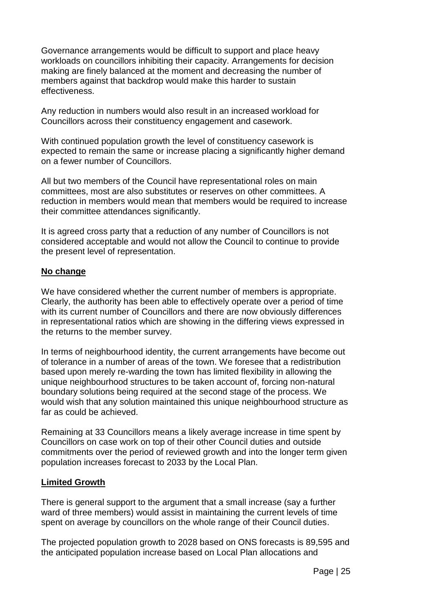Governance arrangements would be difficult to support and place heavy workloads on councillors inhibiting their capacity. Arrangements for decision making are finely balanced at the moment and decreasing the number of members against that backdrop would make this harder to sustain effectiveness.

Any reduction in numbers would also result in an increased workload for Councillors across their constituency engagement and casework.

With continued population growth the level of constituency casework is expected to remain the same or increase placing a significantly higher demand on a fewer number of Councillors.

All but two members of the Council have representational roles on main committees, most are also substitutes or reserves on other committees. A reduction in members would mean that members would be required to increase their committee attendances significantly.

It is agreed cross party that a reduction of any number of Councillors is not considered acceptable and would not allow the Council to continue to provide the present level of representation.

#### <span id="page-25-0"></span>**No change**

We have considered whether the current number of members is appropriate. Clearly, the authority has been able to effectively operate over a period of time with its current number of Councillors and there are now obviously differences in representational ratios which are showing in the differing views expressed in the returns to the member survey.

In terms of neighbourhood identity, the current arrangements have become out of tolerance in a number of areas of the town. We foresee that a redistribution based upon merely re-warding the town has limited flexibility in allowing the unique neighbourhood structures to be taken account of, forcing non-natural boundary solutions being required at the second stage of the process. We would wish that any solution maintained this unique neighbourhood structure as far as could be achieved.

Remaining at 33 Councillors means a likely average increase in time spent by Councillors on case work on top of their other Council duties and outside commitments over the period of reviewed growth and into the longer term given population increases forecast to 2033 by the Local Plan.

#### <span id="page-25-1"></span>**Limited Growth**

There is general support to the argument that a small increase (say a further ward of three members) would assist in maintaining the current levels of time spent on average by councillors on the whole range of their Council duties.

The projected population growth to 2028 based on ONS forecasts is 89,595 and the anticipated population increase based on Local Plan allocations and